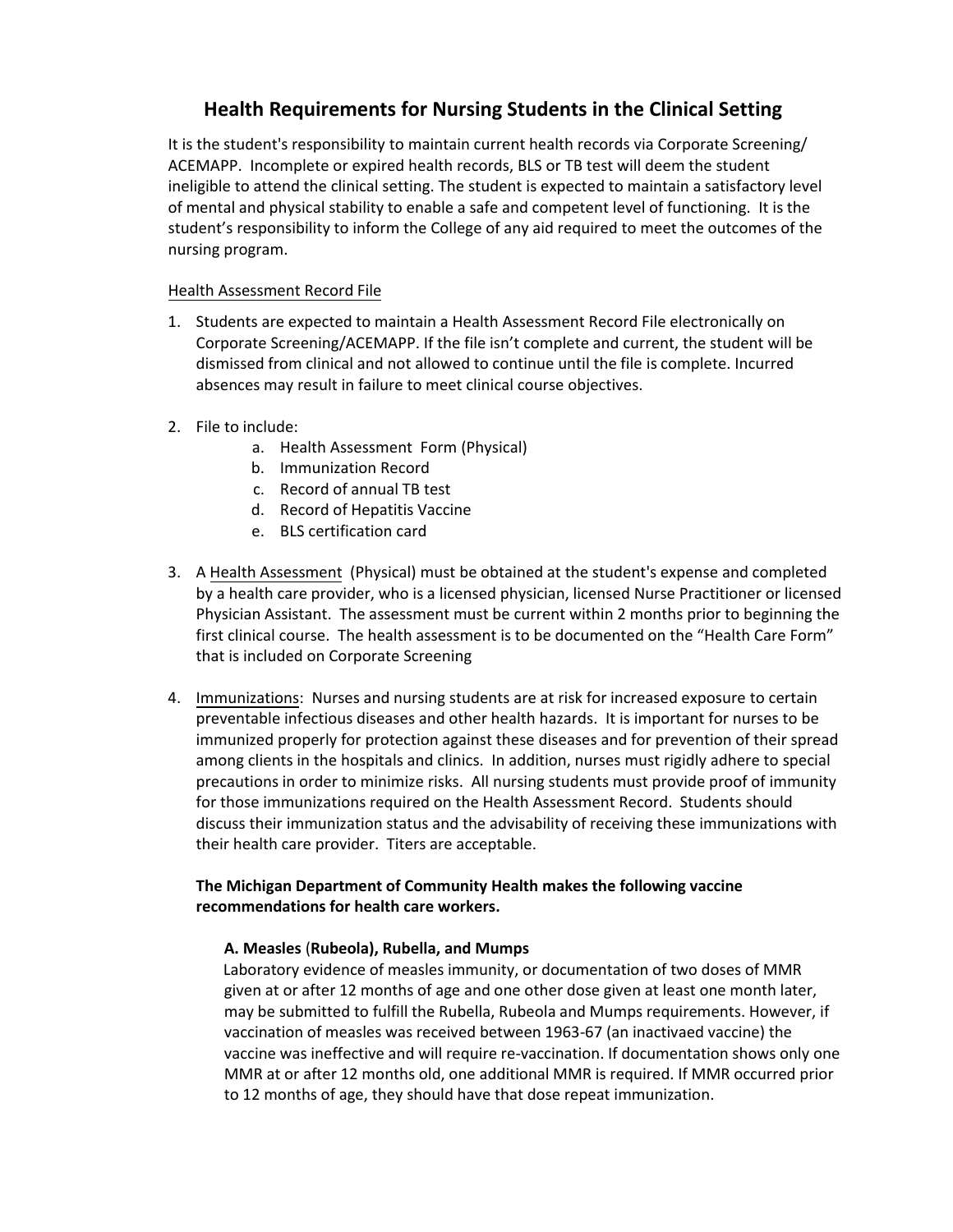# **Health Requirements for Nursing Students in the Clinical Setting**

It is the student's responsibility to maintain current health records via Corporate Screening/ ACEMAPP. Incomplete or expired health records, BLS or TB test will deem the student ineligible to attend the clinical setting. The student is expected to maintain a satisfactory level of mental and physical stability to enable a safe and competent level of functioning. It is the student's responsibility to inform the College of any aid required to meet the outcomes of the nursing program.

# Health Assessment Record File

- 1. Students are expected to maintain a Health Assessment Record File electronically on Corporate Screening/ACEMAPP. If the file isn't complete and current, the student will be dismissed from clinical and not allowed to continue until the file is complete. Incurred absences may result in failure to meet clinical course objectives.
- 2. File to include:
	- a. Health Assessment Form (Physical)
	- b. Immunization Record
	- c. Record of annual TB test
	- d. Record of Hepatitis Vaccine
	- e. BLS certification card
- 3. A Health Assessment (Physical) must be obtained at the student's expense and completed by a health care provider, who is a licensed physician, licensed Nurse Practitioner or licensed Physician Assistant. The assessment must be current within 2 months prior to beginning the first clinical course. The health assessment is to be documented on the "Health Care Form" that is included on Corporate Screening
- 4. Immunizations: Nurses and nursing students are at risk for increased exposure to certain preventable infectious diseases and other health hazards. It is important for nurses to be immunized properly for protection against these diseases and for prevention of their spread among clients in the hospitals and clinics. In addition, nurses must rigidly adhere to special precautions in order to minimize risks. All nursing students must provide proof of immunity for those immunizations required on the Health Assessment Record. Students should discuss their immunization status and the advisability of receiving these immunizations with their health care provider. Titers are acceptable.

# **The Michigan Department of Community Health makes the following vaccine recommendations for health care workers.**

## **A. Measles** (**Rubeola), Rubella, and Mumps**

Laboratory evidence of measles immunity, or documentation of two doses of MMR given at or after 12 months of age and one other dose given at least one month later, may be submitted to fulfill the Rubella, Rubeola and Mumps requirements. However, if vaccination of measles was received between 1963-67 (an inactivaed vaccine) the vaccine was ineffective and will require re-vaccination. If documentation shows only one MMR at or after 12 months old, one additional MMR is required. If MMR occurred prior to 12 months of age, they should have that dose repeat immunization.